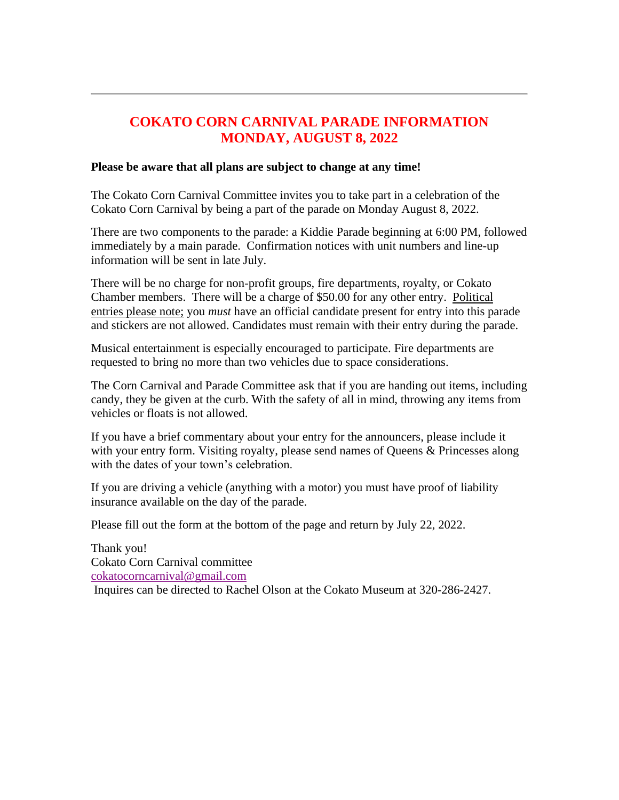## **COKATO CORN CARNIVAL PARADE INFORMATION MONDAY, AUGUST 8, 2022**

## **Please be aware that all plans are subject to change at any time!**

The Cokato Corn Carnival Committee invites you to take part in a celebration of the Cokato Corn Carnival by being a part of the parade on Monday August 8, 2022.

There are two components to the parade: a Kiddie Parade beginning at 6:00 PM, followed immediately by a main parade. Confirmation notices with unit numbers and line-up information will be sent in late July.

There will be no charge for non-profit groups, fire departments, royalty, or Cokato Chamber members. There will be a charge of \$50.00 for any other entry. Political entries please note; you *must* have an official candidate present for entry into this parade and stickers are not allowed. Candidates must remain with their entry during the parade.

Musical entertainment is especially encouraged to participate. Fire departments are requested to bring no more than two vehicles due to space considerations.

The Corn Carnival and Parade Committee ask that if you are handing out items, including candy, they be given at the curb. With the safety of all in mind, throwing any items from vehicles or floats is not allowed.

If you have a brief commentary about your entry for the announcers, please include it with your entry form. Visiting royalty, please send names of Queens & Princesses along with the dates of your town's celebration.

If you are driving a vehicle (anything with a motor) you must have proof of liability insurance available on the day of the parade.

Please fill out the form at the bottom of the page and return by July 22, 2022.

Thank you! Cokato Corn Carnival committee [cokatocorncarnival@gmail.com](mailto:swansonpeterson@embarqmail.com) Inquires can be directed to Rachel Olson at the Cokato Museum at 320-286-2427.